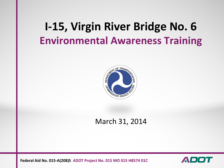## **I-15, Virgin River Bridge No. 6 Environmental Awareness Training**



#### March 31, 2014

**Federal Aid No. 015-A(208)S ADOT Project No. 015 MO 015 H8574 01C**

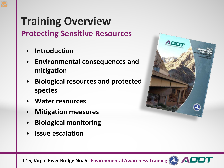# **Training Overview**

**Protecting Sensitive Resources**

- **Introduction**
- **Environmental consequences and mitigation**
- **Biological resources and protected species**
- **Water resources**
- **Mitigation measures**
- **Biological monitoring**
- **Issue escalation**



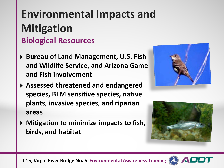## **Environmental Impacts and Mitigation Biological Resources**

- **Bureau of Land Management, U.S. Fish and Wildlife Service, and Arizona Game and Fish involvement**
- **Assessed threatened and endangered species, BLM sensitive species, native plants, invasive species, and riparian areas**
- **Mitigation to minimize impacts to fish, birds, and habitat**





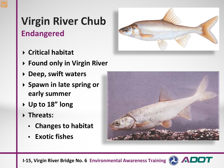#### **Virgin River Chub Endangered**

- **Critical habitat**
- **Found only in Virgin River**
- **Deep, swift waters**
- **Spawn in late spring or early summer**
- **Up to 18" long**
- **Threats:**
	- **Changes to habitat**
	- **Exotic fishes**





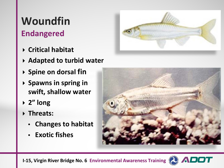# **Woundfin**

#### **Endangered**

- **Critical habitat**
- **Adapted to turbid water**
- **Spine on dorsal fin**
- **Spawns in spring in <b>Widen swift, shallow water**
- **2" long**
- **Threats:**
	- **Changes to habitat**
	- **Exotic fishes**







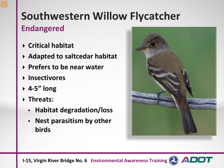### **Southwestern Willow Flycatcher Endangered**

- **Critical habitat**
- **Adapted to saltcedar habitat**
- **Prefers to be near water**
- **Insectivores**
- **4-5" long**
- **Threats:**
	- **Habitat degradation/loss**
	- **Nest parasitism by other birds**



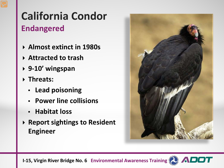### **California Condor Endangered**

- **Almost extinct in 1980s**
- **Attracted to trash**
- **9-10' wingspan**
- **Threats:**
	- **Lead poisoning**
	- **Power line collisions**
	- **Habitat loss**
- **Report sightings to Resident Engineer**



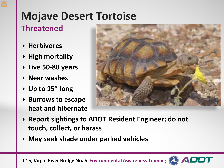## **Mojave Desert Tortoise**

#### **Threatened**

- **Herbivores**
- **High mortality**
- **Live 50-80 years**
- **Near washes**
- **Up to 15" long**
- **Burrows to escape heat and hibernate**



- **Report sightings to ADOT Resident Engineer; do not touch, collect, or harass**
- **May seek shade under parked vehicles**

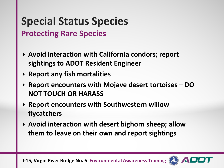#### **Special Status Species Protecting Rare Species**

- **Avoid interaction with California condors; report sightings to ADOT Resident Engineer**
- **Report any fish mortalities**
- **Report encounters with Mojave desert tortoises – DO NOT TOUCH OR HARASS**
- **Report encounters with Southwestern willow flycatchers**
- **Avoid interaction with desert bighorn sheep; allow them to leave on their own and report sightings**

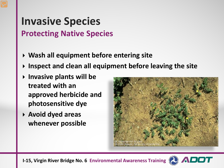#### **Invasive Species Protecting Native Species**

- **Wash all equipment before entering site**
- **Inspect and clean all equipment before leaving the site**
- **Invasive plants will be treated with an approved herbicide and photosensitive dye**
- **Avoid dyed areas whenever possible**





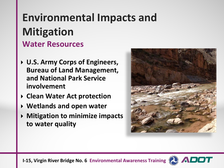### **Environmental Impacts and Mitigation Water Resources**

- **U.S. Army Corps of Engineers, Bureau of Land Management, and National Park Service involvement**
- **Clean Water Act protection**
- **Wetlands and open water**
- **Mitigation to minimize impacts to water quality**



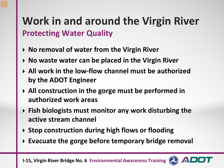### **Work in and around the Virgin River Protecting Water Quality**

- **No removal of water from the Virgin River**
- **No waste water can be placed in the Virgin River**
- **All work in the low-flow channel must be authorized by the ADOT Engineer**
- **All construction in the gorge must be performed in authorized work areas**
- **Fish biologists must monitor any work disturbing the active stream channel**
- **Stop construction during high flows or flooding**
- **Evacuate the gorge before temporary bridge removal**

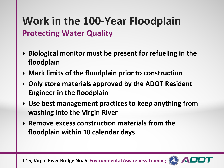### **Work in the 100-Year Floodplain Protecting Water Quality**

- **Biological monitor must be present for refueling in the floodplain**
- **Mark limits of the floodplain prior to construction**
- **Only store materials approved by the ADOT Resident Engineer in the floodplain**
- **Use best management practices to keep anything from washing into the Virgin River**
- **Remove excess construction materials from the floodplain within 10 calendar days**



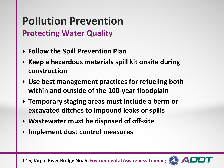### **Pollution Prevention Protecting Water Quality**

- **Follow the Spill Prevention Plan**
- **Keep a hazardous materials spill kit onsite during construction**
- **Use best management practices for refueling both within and outside of the 100-year floodplain**
- **Temporary staging areas must include a berm or excavated ditches to impound leaks or spills**
- **Wastewater must be disposed of off-site**
- **Implement dust control measures**

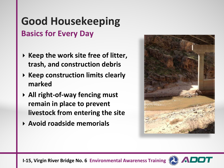#### **Good Housekeeping Basics for Every Day**

- **▶ Keep the work site free of litter, trash, and construction debris**
- **Keep construction limits clearly marked**
- **All right-of-way fencing must remain in place to prevent livestock from entering the site**
- **Avoid roadside memorials**



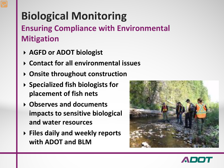# **Biological Monitoring**

#### **Ensuring Compliance with Environmental Mitigation**

- **AGFD or ADOT biologist**
- **Contact for all environmental issues**
- **Onsite throughout construction**
- **Specialized fish biologists for placement of fish nets**
- **Observes and documents impacts to sensitive biological and water resources**
- **Files daily and weekly reports with ADOT and BLM**



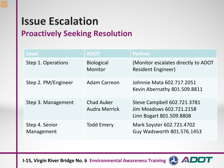## **Issue Escalation**

#### **Proactively Seeking Resolution**

| <b>Level</b>                 | <b>ADOT</b>                               | <b>Partner</b>                                                                      |
|------------------------------|-------------------------------------------|-------------------------------------------------------------------------------------|
| Step 1. Operations           | <b>Biological</b><br>Monitor              | (Monitor escalates directly to ADOT<br>Resident Engineer)                           |
| Step 2. PM/Engineer          | <b>Adam Carreon</b>                       | Johnnie Mata 602.717.2051<br>Kevin Abernathy 801.509.8811                           |
| Step 3. Management           | <b>Chad Auker</b><br><b>Audra Merrick</b> | Steve Campbell 602.721.3781<br>Jim Meadows 602.721.2158<br>Linn Bogart 801.509.8808 |
| Step 4. Senior<br>Management | <b>Todd Emery</b>                         | Mark Soyster 602.721.4702<br>Guy Wadsworth 801.576.1453                             |